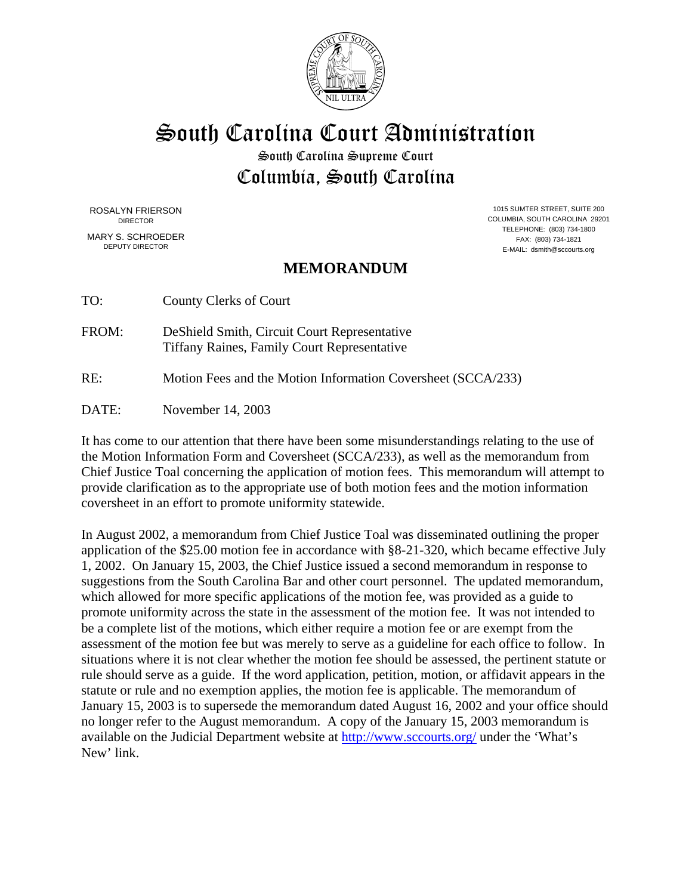

South Carolina Court Administration

South Carolina Supreme Court Columbia, South Carolina

MARY S. SCHROEDER FAX: (803) 734-1821<br>
FERITY DIRECTOR FAX: (803) 734-1821

ROSALYN FRIERSON 1015 SUMTER STREET, SUITE 200<br>DIRECTOR 1015 SUMTER STREET, SUITE 200 COLUMBIA, SOUTH CAROLINA 29201 TELEPHONE: (803) 734-1800 E-MAIL: dsmith@sccourts.org

## **MEMORANDUM**

TO: County Clerks of Court

FROM: DeShield Smith, Circuit Court Representative Tiffany Raines, Family Court Representative

RE: Motion Fees and the Motion Information Coversheet (SCCA/233)

DATE: November 14, 2003

It has come to our attention that there have been some misunderstandings relating to the use of the Motion Information Form and Coversheet (SCCA/233), as well as the memorandum from Chief Justice Toal concerning the application of motion fees. This memorandum will attempt to provide clarification as to the appropriate use of both motion fees and the motion information coversheet in an effort to promote uniformity statewide.

In August 2002, a memorandum from Chief Justice Toal was disseminated outlining the proper application of the \$25.00 motion fee in accordance with §8-21-320, which became effective July 1, 2002. On January 15, 2003, the Chief Justice issued a second memorandum in response to suggestions from the South Carolina Bar and other court personnel. The updated memorandum, which allowed for more specific applications of the motion fee, was provided as a guide to promote uniformity across the state in the assessment of the motion fee. It was not intended to be a complete list of the motions, which either require a motion fee or are exempt from the assessment of the motion fee but was merely to serve as a guideline for each office to follow. In situations where it is not clear whether the motion fee should be assessed, the pertinent statute or rule should serve as a guide. If the word application, petition, motion, or affidavit appears in the statute or rule and no exemption applies, the motion fee is applicable. The memorandum of January 15, 2003 is to supersede the memorandum dated August 16, 2002 and your office should no longer refer to the August memorandum. A copy of the January 15, 2003 memorandum is available on the Judicial Department website at http://www.sccourts.org/ under the 'What's New' link.